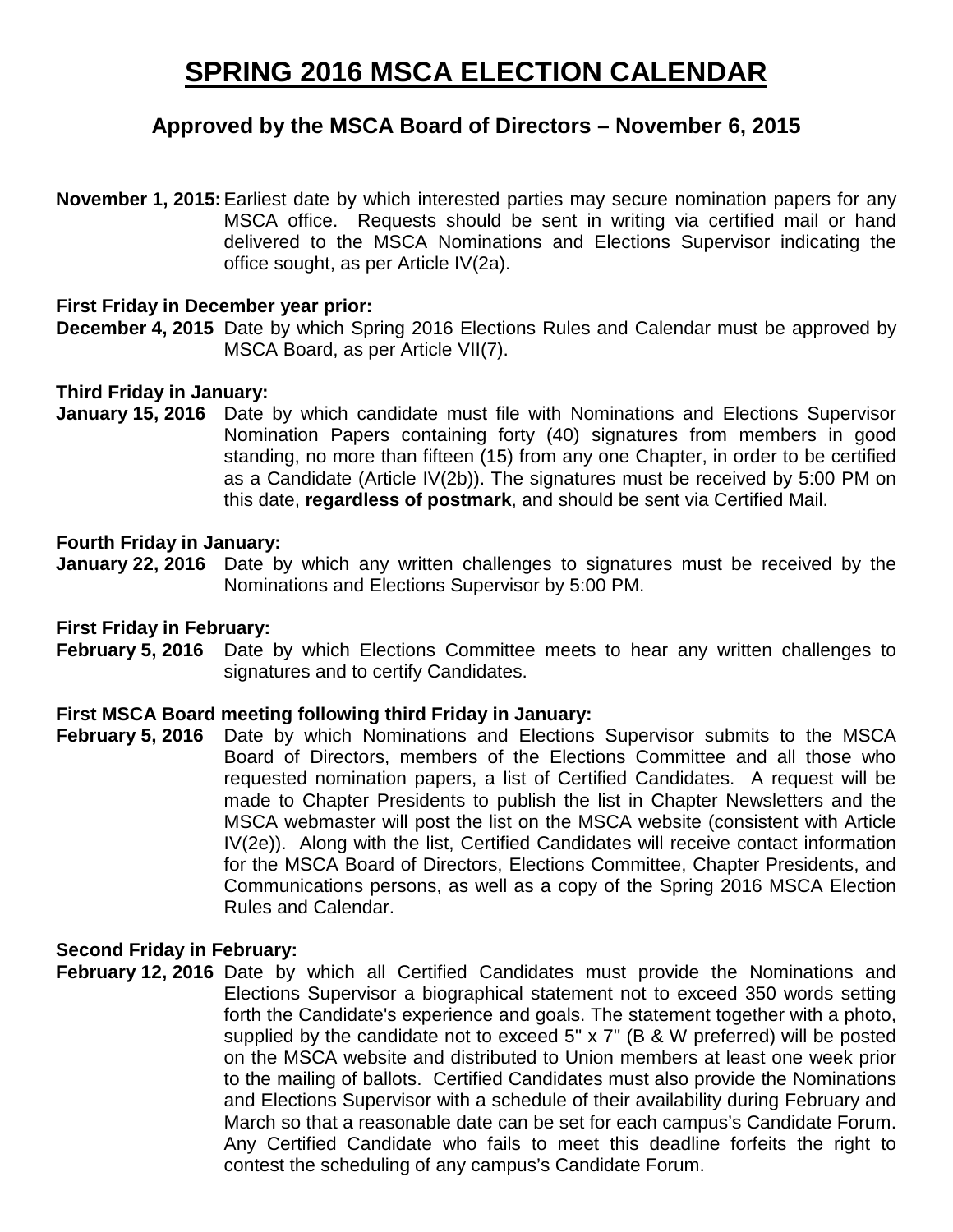# **SPRING 2016 MSCA ELECTION CALENDAR**

## **Approved by the MSCA Board of Directors – November 6, 2015**

**November 1, 2015:**Earliest date by which interested parties may secure nomination papers for any MSCA office. Requests should be sent in writing via certified mail or hand delivered to the MSCA Nominations and Elections Supervisor indicating the office sought, as per Article IV(2a).

## **First Friday in December year prior:**

**December 4, 2015** Date by which Spring 2016 Elections Rules and Calendar must be approved by MSCA Board, as per Article VII(7).

## **Third Friday in January:**

**January 15, 2016** Date by which candidate must file with Nominations and Elections Supervisor Nomination Papers containing forty (40) signatures from members in good standing, no more than fifteen (15) from any one Chapter, in order to be certified as a Candidate (Article IV(2b)). The signatures must be received by 5:00 PM on this date, **regardless of postmark**, and should be sent via Certified Mail.

## **Fourth Friday in January:**

**January 22, 2016** Date by which any written challenges to signatures must be received by the Nominations and Elections Supervisor by 5:00 PM.

## **First Friday in February:**

**February 5, 2016** Date by which Elections Committee meets to hear any written challenges to signatures and to certify Candidates.

## **First MSCA Board meeting following third Friday in January:**

**February 5, 2016** Date by which Nominations and Elections Supervisor submits to the MSCA Board of Directors, members of the Elections Committee and all those who requested nomination papers, a list of Certified Candidates. A request will be made to Chapter Presidents to publish the list in Chapter Newsletters and the MSCA webmaster will post the list on the MSCA website (consistent with Article IV(2e)). Along with the list, Certified Candidates will receive contact information for the MSCA Board of Directors, Elections Committee, Chapter Presidents, and Communications persons, as well as a copy of the Spring 2016 MSCA Election Rules and Calendar.

## **Second Friday in February:**

**February 12, 2016** Date by which all Certified Candidates must provide the Nominations and Elections Supervisor a biographical statement not to exceed 350 words setting forth the Candidate's experience and goals. The statement together with a photo, supplied by the candidate not to exceed 5" x 7" (B & W preferred) will be posted on the MSCA website and distributed to Union members at least one week prior to the mailing of ballots. Certified Candidates must also provide the Nominations and Elections Supervisor with a schedule of their availability during February and March so that a reasonable date can be set for each campus's Candidate Forum. Any Certified Candidate who fails to meet this deadline forfeits the right to contest the scheduling of any campus's Candidate Forum.